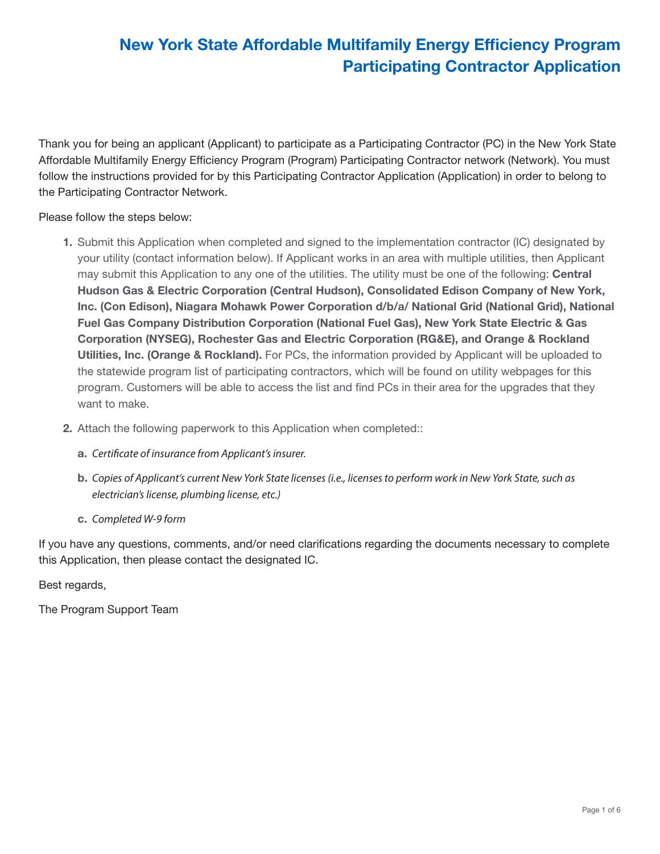Thank you for being an applicant (Applicant) to participate as a Participating Contractor (PC) in the New York State Affordable Multifamily Energy Efficiency Program (Program) Participating Contractor network (Network). You must follow the instructions provided for by this Participating Contractor Application (Application) in order to belong to the Participating Contractor Network.

Please follow the steps below:

- 1. Submit this Application when completed and signed to the implementation contractor (IC) designated by your utility (contact information below). If Applicant works in an area with multiple utilities, then Applicant may submit this Application to any one of the utilities. The utility must be one of the following: **Central** Hudson Gas & Electric Corporation (Central Hudson), Consolidated Edison Company of New York, Inc. (Con Edison), Niagara Mohawk Power Corporation d/b/a/ National Grid (National Grid), National Fuel Gas Company Distribution Corporation (National Fuel Gas), New York State Electric & Gas Corporation (NYSEG), Rochester Gas and Electric Corporation (RG&E), and Orange & Rockland Utilities, Inc. (Orange & Rockland). For PCs, the information provided by Applicant will be uploaded to the statewide program list of participating contractors, which will be found on utility webpages for this program. Customers will be able to access the list and find PCs in their area for the upgrades that they want to make.
- 2. Attach the following paperwork to this Application when completed:
	- a. *Certificate of insurance from Applicant's insurer.*
	- b. *Copies of Applicant's current New York State licenses (i.e., licenses to perform work in New York State, such as electrician's license, plumbing license, etc.)*
	- c. *Completed W-9 form*

If you have any questions, comments, and/or need clarifications regarding the documents necessary to complete this Application, then please contact the designated IC.

Best regards,

The Program Support Team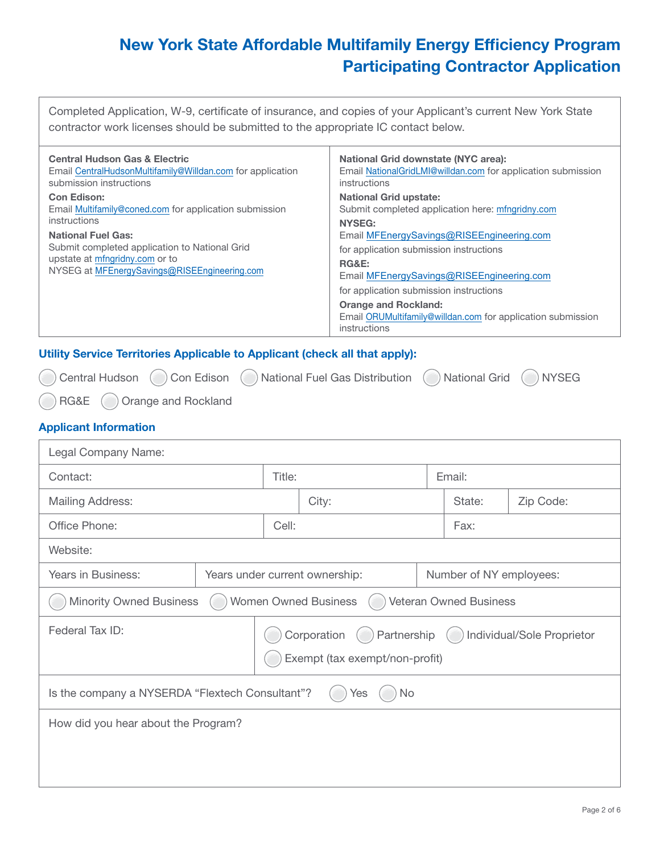Completed Application, W-9, certificate of insurance, and copies of your Applicant's current New York State contractor work licenses should be submitted to the appropriate IC contact below.

| <b>Central Hudson Gas &amp; Electric</b>                                                                                                                                     | <b>National Grid downstate (NYC area):</b>                                                                                                                                                                                                                                                                                      |
|------------------------------------------------------------------------------------------------------------------------------------------------------------------------------|---------------------------------------------------------------------------------------------------------------------------------------------------------------------------------------------------------------------------------------------------------------------------------------------------------------------------------|
| Email CentralHudsonMultifamily@Willdan.com for application                                                                                                                   | Email NationalGridLMI@willdan.com for application submission                                                                                                                                                                                                                                                                    |
| submission instructions                                                                                                                                                      | instructions                                                                                                                                                                                                                                                                                                                    |
| <b>Con Edison:</b>                                                                                                                                                           | <b>National Grid upstate:</b>                                                                                                                                                                                                                                                                                                   |
| Email Multifamily@coned.com for application submission                                                                                                                       | Submit completed application here: mfngridny.com                                                                                                                                                                                                                                                                                |
| instructions<br><b>National Fuel Gas:</b><br>Submit completed application to National Grid<br>upstate at mfngridny.com or to<br>NYSEG at MFEnergySavings@RISEEngineering.com | <b>NYSEG:</b><br>Email MFEnergySavings@RISEEngineering.com<br>for application submission instructions<br><b>RG&amp;E:</b><br>Email MFEnergySavings@RISEEngineering.com<br>for application submission instructions<br><b>Orange and Rockland:</b><br>Email ORUMultifamily@willdan.com for application submission<br>instructions |

#### Utility Service Territories Applicable to Applicant (check all that apply):

Central Hudson (C) Con Edison (C) National Fuel Gas Distribution (C) National Grid (C) NYSEG

RG&E (C) Orange and Rockland

### Applicant Information

| Legal Company Name:                                                                                           |  |                  |                                |  |                         |           |
|---------------------------------------------------------------------------------------------------------------|--|------------------|--------------------------------|--|-------------------------|-----------|
| Contact:                                                                                                      |  | Title:<br>Email: |                                |  |                         |           |
| <b>Mailing Address:</b>                                                                                       |  |                  | City:                          |  | State:                  | Zip Code: |
| Office Phone:                                                                                                 |  | Cell:            |                                |  | Fax:                    |           |
| Website:                                                                                                      |  |                  |                                |  |                         |           |
| Years in Business:                                                                                            |  |                  | Years under current ownership: |  | Number of NY employees: |           |
| <b>Women Owned Business</b><br><b>Minority Owned Business</b><br><b>Veteran Owned Business</b>                |  |                  |                                |  |                         |           |
| Federal Tax ID:<br>Corporation<br>Partnership<br>Individual/Sole Proprietor<br>Exempt (tax exempt/non-profit) |  |                  |                                |  |                         |           |
| Is the company a NYSERDA "Flextech Consultant"?<br>No.<br>Yes                                                 |  |                  |                                |  |                         |           |
| How did you hear about the Program?                                                                           |  |                  |                                |  |                         |           |
|                                                                                                               |  |                  |                                |  |                         |           |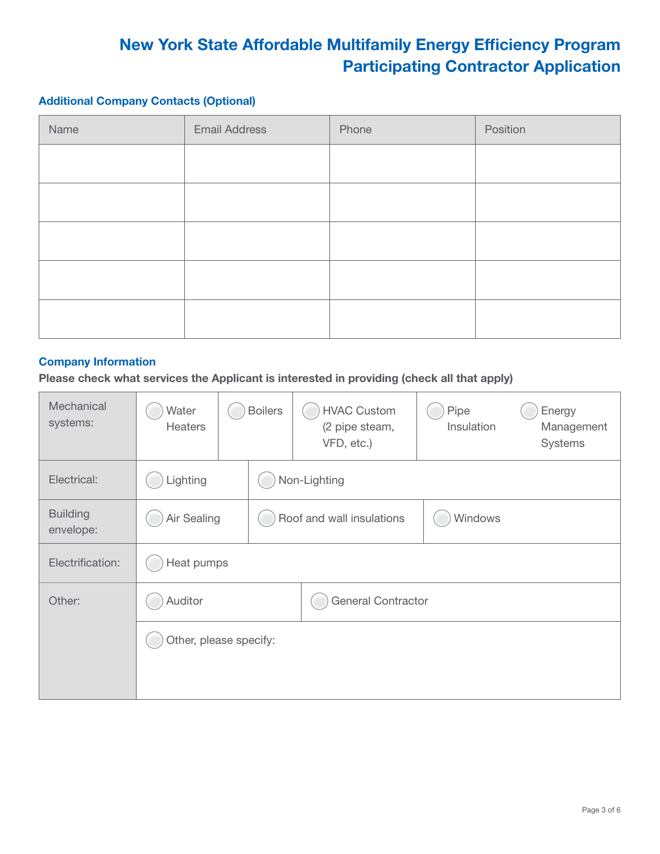### Additional Company Contacts (Optional)

| Name | <b>Email Address</b> | Phone | Position |
|------|----------------------|-------|----------|
|      |                      |       |          |
|      |                      |       |          |
|      |                      |       |          |
|      |                      |       |          |
|      |                      |       |          |

#### Company Information

Please check what services the Applicant is interested in providing (check all that apply)

| Mechanical<br>systems:       | Water<br><b>Heaters</b> | <b>Boilers</b> |                           | <b>HVAC Custom</b><br>(2 pipe steam,<br>VFD, etc.) | Pipe<br>Insulation | Energy<br>Management<br>Systems |
|------------------------------|-------------------------|----------------|---------------------------|----------------------------------------------------|--------------------|---------------------------------|
| Electrical:                  | Lighting                |                | Non-Lighting              |                                                    |                    |                                 |
| <b>Building</b><br>envelope: | Air Sealing             |                | Roof and wall insulations | Windows                                            |                    |                                 |
| Electrification:             | Heat pumps              |                |                           |                                                    |                    |                                 |
| Other:                       | Auditor                 |                | <b>General Contractor</b> |                                                    |                    |                                 |
|                              | Other, please specify:  |                |                           |                                                    |                    |                                 |
|                              |                         |                |                           |                                                    |                    |                                 |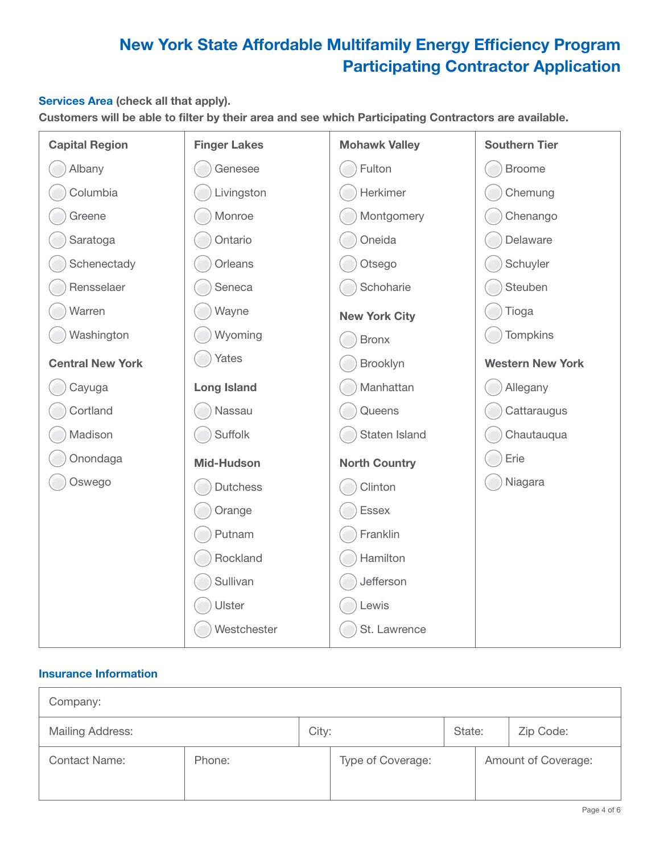### Services Area (check all that apply).

Customers will be able to filter by their area and see which Participating Contractors are available.

| <b>Capital Region</b>   | <b>Finger Lakes</b> | <b>Mohawk Valley</b> | <b>Southern Tier</b>    |
|-------------------------|---------------------|----------------------|-------------------------|
| Albany                  | Genesee             | Fulton               | <b>Broome</b>           |
| Columbia                | Livingston          | Herkimer             | Chemung                 |
| Greene                  | Monroe              | Montgomery           | Chenango                |
| Saratoga                | Ontario             | Oneida               | Delaware                |
| Schenectady             | Orleans             | Otsego               | Schuyler                |
| Rensselaer              | Seneca              | Schoharie            | Steuben                 |
| Warren                  | Wayne               | <b>New York City</b> | Tioga                   |
| Washington              | Wyoming             | <b>Bronx</b>         | <b>Tompkins</b>         |
| <b>Central New York</b> | Yates               | Brooklyn             | <b>Western New York</b> |
| Cayuga                  | <b>Long Island</b>  | Manhattan            | Allegany                |
| Cortland                | Nassau              | Queens               | Cattaraugus             |
| Madison                 | Suffolk             | Staten Island        | Chautauqua              |
| Onondaga                | <b>Mid-Hudson</b>   | <b>North Country</b> | Erie                    |
| Oswego                  | <b>Dutchess</b>     | Clinton              | Niagara                 |
|                         | Orange              | Essex                |                         |
|                         | Putnam              | Franklin             |                         |
|                         | Rockland            | Hamilton             |                         |
|                         | Sullivan            | Jefferson            |                         |
|                         | Ulster              | Lewis                |                         |
|                         | Westchester         | St. Lawrence         |                         |

### Insurance Information

| Company:             |        |       |                   |        |                     |
|----------------------|--------|-------|-------------------|--------|---------------------|
| Mailing Address:     |        | City: |                   | State: | Zip Code:           |
| <b>Contact Name:</b> | Phone: |       | Type of Coverage: |        | Amount of Coverage: |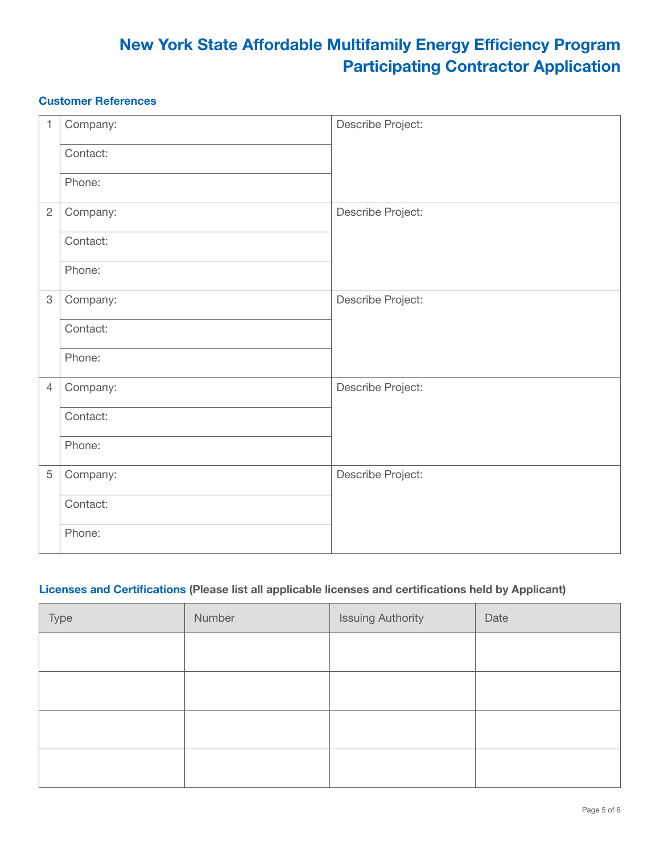### Customer References

| $\mathbf{1}$   | Company: | Describe Project: |
|----------------|----------|-------------------|
|                | Contact: |                   |
|                | Phone:   |                   |
| $\overline{2}$ | Company: | Describe Project: |
|                | Contact: |                   |
|                | Phone:   |                   |
| $\mathfrak 3$  | Company: | Describe Project: |
|                | Contact: |                   |
|                | Phone:   |                   |
| $\overline{4}$ | Company: | Describe Project: |
|                | Contact: |                   |
|                | Phone:   |                   |
| 5              | Company: | Describe Project: |
|                | Contact: |                   |
|                | Phone:   |                   |

### Licenses and Certifications (Please list all applicable licenses and certifications held by Applicant)

| Type | Number | <b>Issuing Authority</b> | Date |
|------|--------|--------------------------|------|
|      |        |                          |      |
|      |        |                          |      |
|      |        |                          |      |
|      |        |                          |      |